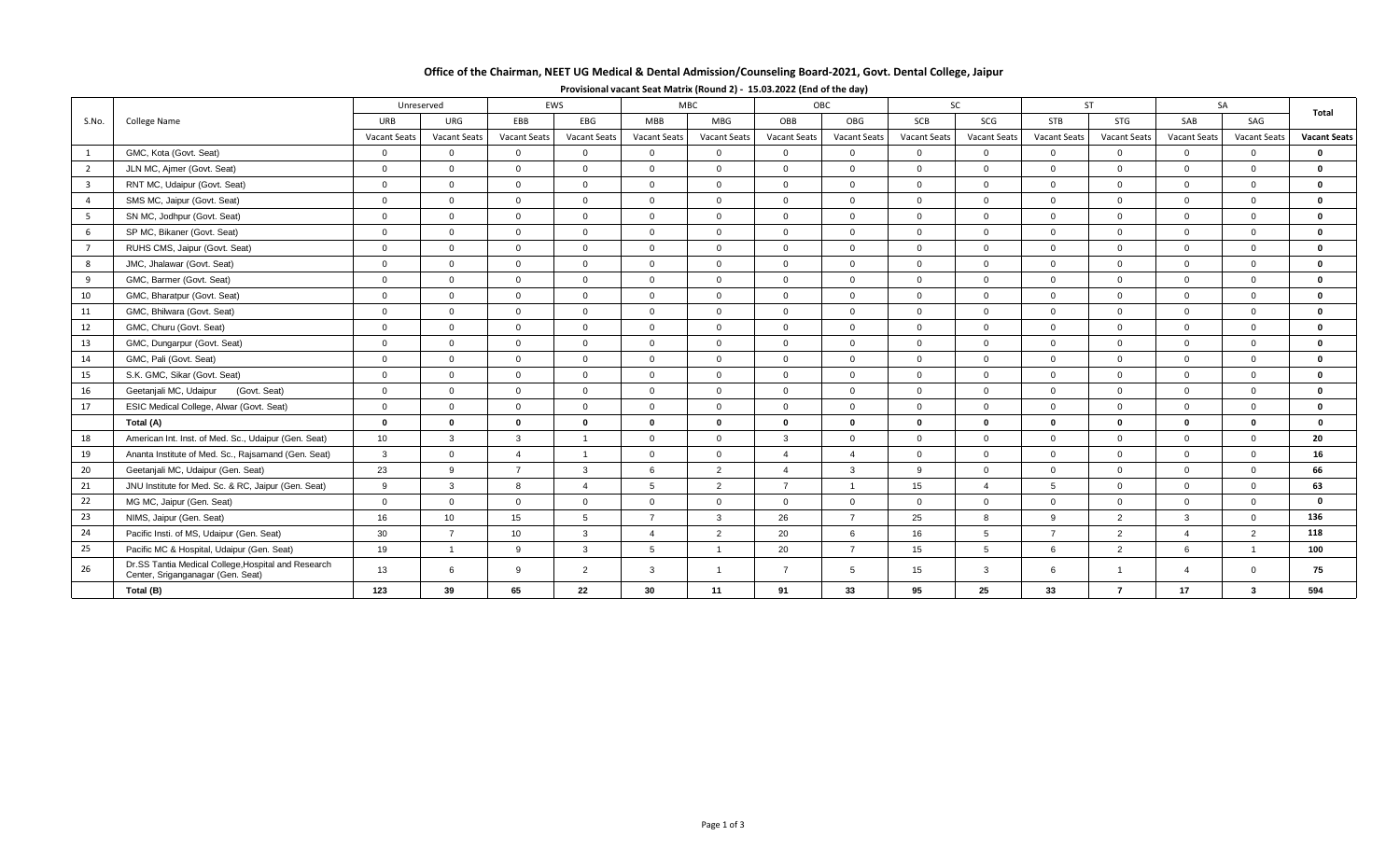## **Office of the Chairman, NEET UG Medical & Dental Admission/Counseling Board-2021, Govt. Dental College, Jaipur**

|                | College Name                                                                             | Unreserved       |                     |                     | EWS                 |                | MBC                 |                     | OBC            | SC                  |                     | <b>ST</b>      |                     | SA                     |                     |                     |
|----------------|------------------------------------------------------------------------------------------|------------------|---------------------|---------------------|---------------------|----------------|---------------------|---------------------|----------------|---------------------|---------------------|----------------|---------------------|------------------------|---------------------|---------------------|
| S.No.          |                                                                                          | URB              | URG                 | EBB                 | EBG                 | <b>MBB</b>     | <b>MBG</b>          | OBB                 | OBG            | SCB                 | SCG                 | <b>STB</b>     | STG                 | SAB                    | SAG                 | Total               |
|                |                                                                                          | Vacant Seats     | <b>Vacant Seats</b> | <b>Vacant Seats</b> | <b>Vacant Seats</b> | Vacant Seats   | <b>Vacant Seats</b> | <b>Vacant Seats</b> | Vacant Seats   | <b>Vacant Seats</b> | <b>Vacant Seats</b> | Vacant Seats   | <b>Vacant Seats</b> | <b>Vacant Seats</b>    | <b>Vacant Seats</b> | <b>Vacant Seats</b> |
| <sup>1</sup>   | GMC, Kota (Govt. Seat)                                                                   | $\overline{0}$   | $\overline{0}$      | $\Omega$            | $\overline{0}$      | $\overline{0}$ | $\Omega$            | $\overline{0}$      | $\overline{0}$ | $\overline{0}$      | $\overline{0}$      | $\Omega$       | $\Omega$            | $\Omega$               | $\overline{0}$      | $\mathbf 0$         |
| $\overline{2}$ | JLN MC, Ajmer (Govt. Seat)                                                               | $\overline{0}$   | $\overline{0}$      | $\overline{0}$      | $\Omega$            | $\Omega$       | $\Omega$            | $\overline{0}$      | $\mathbf{0}$   | $\Omega$            | $\Omega$            | $\Omega$       | $\Omega$            | $\Omega$               | $\mathbf{0}$        | $\mathbf 0$         |
| $\overline{3}$ | RNT MC, Udaipur (Govt. Seat)                                                             | $\Omega$         | $\Omega$            | $\Omega$            | $\Omega$            | $\Omega$       | $\Omega$            | $\Omega$            | $\Omega$       | $\Omega$            | $\Omega$            | $\Omega$       | $\Omega$            | $\Omega$               | $\Omega$            | $\mathbf 0$         |
| $\overline{a}$ | SMS MC, Jaipur (Govt. Seat)                                                              | $\overline{0}$   | $\Omega$            | $\Omega$            | $\Omega$            | $\Omega$       | $\Omega$            | $\Omega$            | $\Omega$       | $\Omega$            | $\Omega$            | $\Omega$       | $\Omega$            | $\Omega$               | $\mathbf{0}$        | $\mathbf 0$         |
| 5 <sub>5</sub> | SN MC, Jodhpur (Govt. Seat)                                                              | $\overline{0}$   | $\overline{0}$      | $\overline{0}$      | $\Omega$            | $\Omega$       | $\Omega$            | $\Omega$            | $\overline{0}$ | $\Omega$            | $\Omega$            | $\Omega$       | $\Omega$            | $\overline{0}$         | $\mathbf{0}$        | $\mathbf 0$         |
| 6              | SP MC, Bikaner (Govt. Seat)                                                              | $\overline{0}$   | $\mathbf{0}$        | $\overline{0}$      | $\Omega$            | $\Omega$       | $\Omega$            | $\Omega$            | $\overline{0}$ | $\Omega$            | $\Omega$            | $\Omega$       | $\Omega$            | $\Omega$               | $\Omega$            | $\mathbf 0$         |
| $7^{\circ}$    | RUHS CMS, Jaipur (Govt. Seat)                                                            | $\overline{0}$   | $\overline{0}$      | $\Omega$            | $\Omega$            | $\overline{0}$ | $\Omega$            | $\Omega$            | $\overline{0}$ | $\overline{0}$      | $\Omega$            | $\Omega$       | $\Omega$            | $\Omega$               | $\overline{0}$      | $\mathbf 0$         |
| 8              | JMC, Jhalawar (Govt. Seat)                                                               | $\overline{0}$   | $\mathbf{0}$        | $\Omega$            | $\Omega$            | $\Omega$       | $\Omega$            | $\Omega$            | $\overline{0}$ | $\Omega$            | $\Omega$            | $\Omega$       | $\Omega$            | $\overline{0}$         | $\Omega$            | $\mathbf{o}$        |
| 9              | GMC, Barmer (Govt. Seat)                                                                 | $\overline{0}$   | $\overline{0}$      | $\overline{0}$      | $\Omega$            | $\Omega$       | $\Omega$            | $\Omega$            | $\overline{0}$ | $\Omega$            | $\Omega$            | $\Omega$       | $\Omega$            | $\Omega$               | $\mathbf{0}$        | $\mathbf 0$         |
| 10             | GMC, Bharatpur (Govt. Seat)                                                              | $\overline{0}$   | $\Omega$            | $\Omega$            | $\Omega$            | $\Omega$       | $\Omega$            | $\Omega$            | $\overline{0}$ | $\Omega$            | $\Omega$            | $\Omega$       | $\Omega$            | $\Omega$               | $\mathbf 0$         | $\mathbf{0}$        |
| 11             | GMC. Bhilwara (Govt. Seat)                                                               | $\mathbf{0}$     | $\mathbf{0}$        | $\Omega$            | $\Omega$            | $\Omega$       | $\Omega$            | $\overline{0}$      | $\overline{0}$ | $\overline{0}$      | $\Omega$            | $\Omega$       | $\Omega$            | $\overline{0}$         | $\mathbf{0}$        | $\mathbf 0$         |
| 12             | GMC, Churu (Govt. Seat)                                                                  | $\overline{0}$   | $\overline{0}$      | $\overline{0}$      | $\overline{0}$      | $\overline{0}$ | $\Omega$            | $\Omega$            | $\overline{0}$ | $\overline{0}$      | $\overline{0}$      | $\Omega$       | $\overline{0}$      | $\overline{0}$         | $\mathbf{0}$        | $\mathbf 0$         |
| 13             | GMC, Dungarpur (Govt. Seat)                                                              | $\overline{0}$   | $\overline{0}$      | $\Omega$            | $\Omega$            | $\Omega$       | $\Omega$            | $\mathbf{0}$        | $\overline{0}$ | $\Omega$            | $\Omega$            | $\Omega$       | $\Omega$            | $\Omega$               | $\mathbf{0}$        | $\mathbf 0$         |
| 14             | GMC, Pali (Govt. Seat)                                                                   | $\overline{0}$   | $\Omega$            | $\Omega$            | $\Omega$            | $\Omega$       | $\Omega$            | $\Omega$            | $\Omega$       | $\Omega$            | $\Omega$            | $\Omega$       | $\Omega$            | $\Omega$               | $\Omega$            | $\mathbf 0$         |
| 15             | S.K. GMC, Sikar (Govt. Seat)                                                             | $\overline{0}$   | $\overline{0}$      | $\overline{0}$      | $\Omega$            | $\Omega$       | $\Omega$            | $\Omega$            | $\overline{0}$ | $\Omega$            | $\Omega$            | $\Omega$       | $\Omega$            | $\Omega$               | $\mathbf 0$         | $\mathbf 0$         |
| 16             | (Govt. Seat)<br>Geetanjali MC, Udaipur                                                   | $\overline{0}$   | $\mathbf{0}$        | $\overline{0}$      | $\overline{0}$      | $\mathbf{0}$   | $\Omega$            | $\overline{0}$      | $\overline{0}$ | $\overline{0}$      | $\overline{0}$      | $\Omega$       | $\Omega$            | $\overline{0}$         | $\mathbf{0}$        | $\mathbf 0$         |
| 17             | ESIC Medical College, Alwar (Govt. Seat)                                                 | $\overline{0}$   | $\overline{0}$      | $\Omega$            | $\Omega$            | $\Omega$       | $\Omega$            | $\Omega$            | $\overline{0}$ | $\Omega$            | $\Omega$            | $\Omega$       | $\Omega$            | $\Omega$               | $\mathbf{0}$        | $\mathbf 0$         |
|                | Total (A)                                                                                | $\mathbf{0}$     | $\bf{0}$            | $\mathbf{0}$        | $\mathbf{0}$        | $\Omega$       | $\Omega$            | $\bf{0}$            | $\mathbf{0}$   | $\mathbf{0}$        | $\bf{0}$            | $\Omega$       | $\bf{0}$            | $\bf{0}$               | $\mathbf{0}$        | $\Omega$            |
| 18             | American Int. Inst. of Med. Sc., Udaipur (Gen. Seat)                                     | 10 <sup>10</sup> | $\mathbf{3}$        | $\mathbf{3}$        | $\overline{1}$      | $\Omega$       | $\Omega$            | $\mathbf{3}$        | $\overline{0}$ | $\Omega$            | $\Omega$            | $\Omega$       | $\Omega$            | $\Omega$               | $\overline{0}$      | 20                  |
| 19             | Ananta Institute of Med. Sc., Rajsamand (Gen. Seat)                                      | 3                | $\overline{0}$      | $\overline{a}$      | $\overline{1}$      | $\Omega$       | $\Omega$            | $\overline{4}$      | $\overline{4}$ | $\overline{0}$      | $\overline{0}$      | $\Omega$       | $\Omega$            | $\overline{0}$         | $\mathbf{0}$        | 16                  |
| 20             | Geetanjali MC, Udaipur (Gen. Seat)                                                       | 23               | 9                   | $\overline{7}$      | $\mathbf{B}$        | <b>6</b>       | $\overline{2}$      | $\Delta$            | $\mathbf{3}$   | $\mathbf{Q}$        | $\Omega$            | $\Omega$       | $\Omega$            | $\Omega$               | $\Omega$            | 66                  |
| 21             | JNU Institute for Med. Sc. & RC, Jaipur (Gen. Seat)                                      | 9                | $\mathbf{3}$        | 8                   | $\mathbf{\Lambda}$  | -5             | 2                   | $\overline{7}$      | $\overline{1}$ | 15                  | $\overline{4}$      | 5              | $\overline{0}$      | $\overline{0}$         | $\mathbf{0}$        | 63                  |
| 22             | MG MC, Jaipur (Gen. Seat)                                                                | $\overline{0}$   | $\overline{0}$      | $\Omega$            | $\Omega$            | $\Omega$       | $\Omega$            | $\Omega$            | $\mathbf{0}$   | $\Omega$            | $\Omega$            | $\Omega$       | $\Omega$            | $\Omega$               | $\Omega$            | $\mathbf{0}$        |
| 23             | NIMS, Jaipur (Gen. Seat)                                                                 | 16               | 10                  | 15                  | 5                   | $\overline{7}$ | $\mathcal{R}$       | 26                  | $\overline{7}$ | 25                  | 8                   | $\mathbf{Q}$   | 2                   | $\mathbf{3}$           | $\Omega$            | 136                 |
| 24             | Pacific Insti. of MS, Udaipur (Gen. Seat)                                                | 30               | $\overline{7}$      | 10                  | $\overline{3}$      | $\Delta$       | $\overline{2}$      | 20                  | 6              | 16                  | 5                   | $\overline{z}$ | 2                   | $\boldsymbol{\Lambda}$ | $\overline{2}$      | 118                 |
| 25             | Pacific MC & Hospital, Udaipur (Gen. Seat)                                               | 19               | $\overline{1}$      | 9                   | 3                   | -5             |                     | 20                  | $\overline{7}$ | 15                  | 5                   | 6              | 2                   | 6                      |                     | 100                 |
| 26             | Dr.SS Tantia Medical College, Hospital and Research<br>Center, Sriganganagar (Gen. Seat) | 13               | 6                   | 9                   | $\overline{2}$      | 3              |                     | $\overline{7}$      | $5^{\circ}$    | 15                  | $\mathbf{3}$        | 6              |                     | $\boldsymbol{\Lambda}$ | $\mathbf{0}$        | 75                  |
|                | Total (B)                                                                                | 123              | 39                  | 65                  | 22                  | 30             | 11                  | 91                  | 33             | 95                  | 25                  | 33             | $\overline{7}$      | 17                     | 3                   | 594                 |

**Provisional vacant Seat Matrix (Round 2) - 15.03.2022 (End of the day)**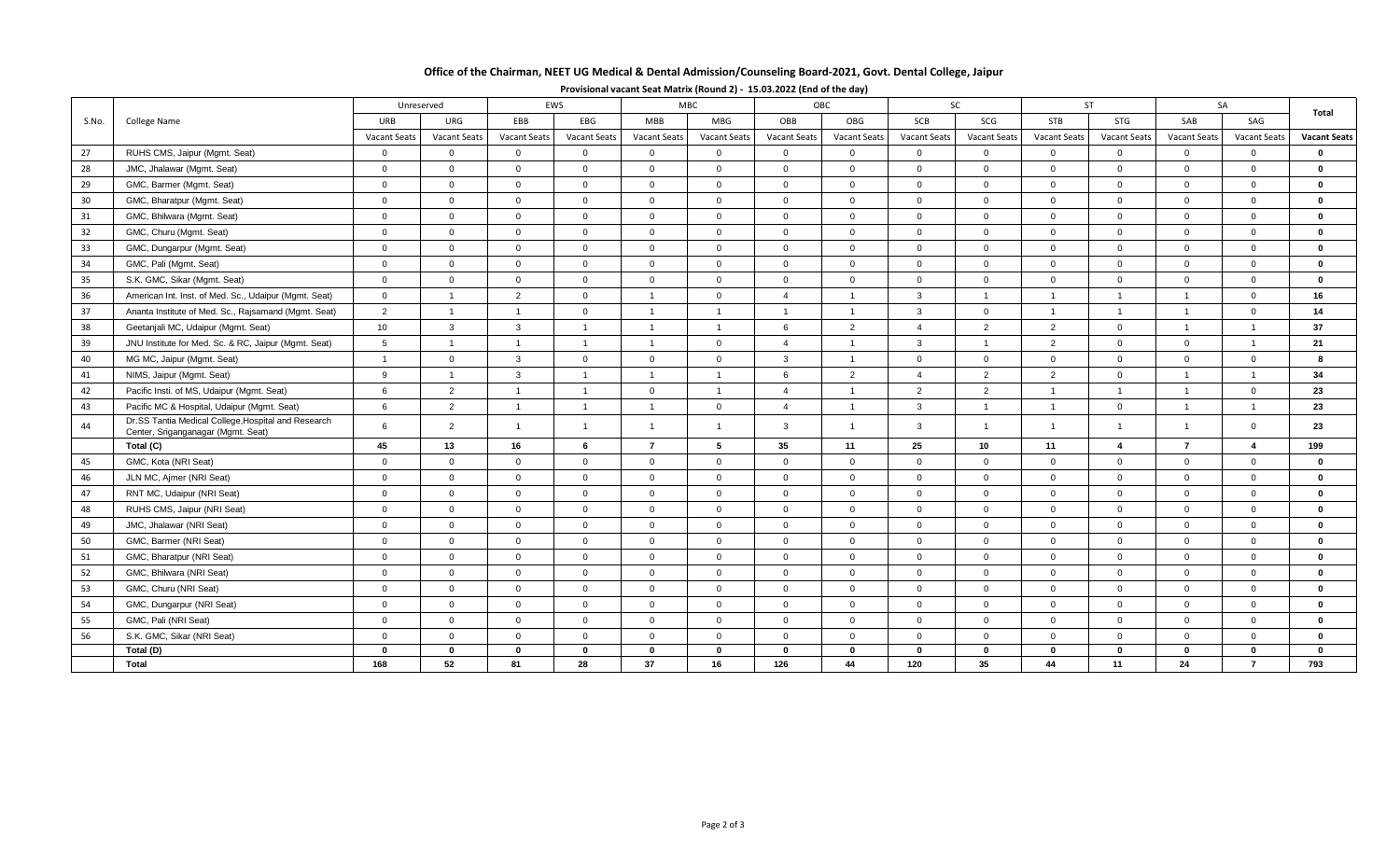## **Office of the Chairman, NEET UG Medical & Dental Admission/Counseling Board-2021, Govt. Dental College, Jaipur**

|       | College Name                                                                              | EWS<br>Unreserved   |                     |                     | <b>MBC</b>          |                | OBC                 |                     | SC                  |                     | <b>ST</b>           |                     | SA                  |                | Total                   |                     |
|-------|-------------------------------------------------------------------------------------------|---------------------|---------------------|---------------------|---------------------|----------------|---------------------|---------------------|---------------------|---------------------|---------------------|---------------------|---------------------|----------------|-------------------------|---------------------|
| S.No. |                                                                                           | URB                 | URG                 | EBB                 | EBG                 | <b>MBB</b>     | <b>MBG</b>          | OBB                 | OBG                 | SCB                 | SCG                 | <b>STB</b>          | <b>STG</b>          | SAB            | SAG                     |                     |
|       |                                                                                           | <b>Vacant Seats</b> | <b>Vacant Seats</b> | <b>Vacant Seats</b> | <b>Vacant Seats</b> | Vacant Seats   | <b>Vacant Seats</b> | <b>Vacant Seats</b> | <b>Vacant Seats</b> | <b>Vacant Seats</b> | <b>Vacant Seats</b> | <b>Vacant Seats</b> | <b>Vacant Seats</b> | Vacant Seats   | <b>Vacant Seats</b>     | <b>Vacant Seats</b> |
| 27    | RUHS CMS, Jaipur (Mgmt. Seat)                                                             | $\mathbf{0}$        | $\mathbf{0}$        | $\overline{0}$      | $\overline{0}$      | $\overline{0}$ | $\overline{0}$      | $\mathbf{0}$        | $\overline{0}$      | $\mathbf 0$         | $\overline{0}$      | $\mathbf 0$         | $\mathbf{0}$        | $\overline{0}$ | $\Omega$                | $\mathbf{0}$        |
| 28    | JMC, Jhalawar (Mgmt. Seat)                                                                | $\mathbf 0$         | $\overline{0}$      | $\overline{0}$      | $\overline{0}$      | $\overline{0}$ | $\overline{0}$      | $\overline{0}$      | $\overline{0}$      | $\overline{0}$      | $\overline{0}$      | $\overline{0}$      | $\overline{0}$      | $\overline{0}$ | $\mathbf{0}$            | $\mathbf{0}$        |
| 29    | GMC, Barmer (Mgmt. Seat)                                                                  | $\mathbf 0$         | $\mathbf{0}$        | $\overline{0}$      | $\mathbf{0}$        | $\overline{0}$ | $\mathbf 0$         | $\mathbf{0}$        | $\overline{0}$      | $\overline{0}$      | $\overline{0}$      | $\overline{0}$      | $\overline{0}$      | $\overline{0}$ | $\mathbf{0}$            | $\mathbf{0}$        |
| 30    | GMC, Bharatpur (Mgmt. Seat)                                                               | $\mathbf 0$         | $\mathbf 0$         | $\overline{0}$      | $\mathbf{0}$        | $\overline{0}$ | $\overline{0}$      | $\overline{0}$      | $\mathbf 0$         | $\mathbf 0$         | $\overline{0}$      | $\overline{0}$      | $\overline{0}$      | $\overline{0}$ | $\mathbf{0}$            | $\mathbf{0}$        |
| 31    | GMC, Bhilwara (Mgmt. Seat)                                                                | $\overline{0}$      | $\overline{0}$      | $\overline{0}$      | $\overline{0}$      | $\overline{0}$ | $\Omega$            | $\overline{0}$      | $\overline{0}$      | $\overline{0}$      | $\overline{0}$      | $\overline{0}$      | $\overline{0}$      | $\overline{0}$ | $\Omega$                | $\mathbf{0}$        |
| 32    | GMC, Churu (Mgmt. Seat)                                                                   | $\overline{0}$      | $\overline{0}$      | $\overline{0}$      | $\overline{0}$      | $\overline{0}$ | $\overline{0}$      | $\mathbf 0$         | $\overline{0}$      | $\overline{0}$      | $\overline{0}$      | $\overline{0}$      | $\overline{0}$      | $\overline{0}$ | $\mathbf{0}$            | $\mathbf{0}$        |
| 33    | GMC, Dungarpur (Mgmt. Seat)                                                               | $\overline{0}$      | $\overline{0}$      | $\overline{0}$      | $\mathbf{0}$        | $\overline{0}$ | $\overline{0}$      | $\mathbf 0$         | $\mathbf 0$         | $\overline{0}$      | $\overline{0}$      | $\overline{0}$      | $\overline{0}$      | $\overline{0}$ | $\mathbf{0}$            | $\mathbf 0$         |
| 34    | GMC, Pali (Mgmt. Seat)                                                                    | $\mathbf 0$         | $\mathbf{0}$        | $\overline{0}$      | $\mathbf 0$         | $\overline{0}$ | $\mathbf 0$         | $\overline{0}$      | $\overline{0}$      | $\overline{0}$      | $\overline{0}$      | $\overline{0}$      | $\overline{0}$      | $\overline{0}$ | $\mathbf{0}$            | $\mathbf{0}$        |
| 35    | S.K. GMC, Sikar (Mgmt. Seat)                                                              | $\mathbf 0$         | $\mathbf 0$         | $\mathbf{0}$        | $\overline{0}$      | $\mathbf 0$    | $\overline{0}$      | $\overline{0}$      | $\overline{0}$      | $\overline{0}$      | $\overline{0}$      | $\overline{0}$      | $\overline{0}$      | $\overline{0}$ | $\mathbf{0}$            | $\mathbf{0}$        |
| 36    | American Int. Inst. of Med. Sc., Udaipur (Mgmt. Seat)                                     | $\overline{0}$      | $\overline{1}$      | 2                   | $\overline{0}$      | $\overline{1}$ | $\Omega$            | $\Delta$            | $\overline{1}$      | $\mathbf{3}$        | $\overline{1}$      | $\overline{1}$      | $\overline{1}$      | $\overline{1}$ | $\Omega$                | 16                  |
| 37    | Ananta Institute of Med. Sc., Rajsamand (Mgmt. Seat)                                      | 2                   | $\overline{1}$      | $\overline{1}$      | $\overline{0}$      | $\overline{1}$ | - 1                 | $\overline{1}$      | $\overline{1}$      | $\mathbf{3}$        | $\overline{0}$      | $\overline{1}$      | $\overline{1}$      |                | $\mathbf{0}$            | 14                  |
| 38    | Geetanjali MC, Udaipur (Mgmt. Seat)                                                       | 10                  | $\mathbf{3}$        | $\mathbf{3}$        | $\overline{1}$      | $\overline{1}$ | $\overline{1}$      | 6                   | 2                   | $\overline{4}$      | 2                   | 2                   | $\overline{0}$      | $\overline{1}$ | $\overline{1}$          | 37                  |
| 39    | JNU Institute for Med. Sc. & RC, Jaipur (Mgmt. Seat)                                      | 5                   | $\overline{1}$      | $\overline{1}$      | $\overline{1}$      | $\overline{1}$ | $\Omega$            | $\Delta$            | $\overline{1}$      | $\mathbf{3}$        | $\overline{1}$      | 2                   | $\overline{0}$      | $\overline{0}$ | $\overline{1}$          | 21                  |
| 40    | MG MC, Jaipur (Mgmt. Seat)                                                                | $\overline{1}$      | $\overline{0}$      | $\mathbf{3}$        | $\mathbf 0$         | $\overline{0}$ | $\mathbf{0}$        | $\mathbf{3}$        | $\overline{1}$      | $\mathbf 0$         | $\overline{0}$      | $\overline{0}$      | $\overline{0}$      | $\overline{0}$ | $\mathbf{0}$            | 8                   |
| 41    | NIMS, Jaipur (Mgmt. Seat)                                                                 | 9                   | $\overline{1}$      | $\mathbf{3}$        | $\overline{1}$      | $\overline{1}$ | $\overline{1}$      | 6                   | 2                   | $\overline{4}$      | 2                   | 2                   | $\overline{0}$      | $\overline{1}$ | $\overline{1}$          | 34                  |
| 42    | Pacific Insti. of MS, Udaipur (Mgmt. Seat)                                                | 6                   | $\overline{2}$      | $\overline{1}$      | $\overline{1}$      | $\overline{0}$ | $\overline{1}$      | $\overline{4}$      | $\overline{1}$      | $\overline{2}$      | 2                   | $\overline{1}$      | $\overline{1}$      | $\overline{1}$ | $\mathbf{0}$            | 23                  |
| 43    | Pacific MC & Hospital, Udaipur (Mgmt. Seat)                                               | 6                   | $\overline{2}$      | $\overline{1}$      | $\overline{1}$      | $\overline{1}$ | $\overline{0}$      | $\overline{4}$      | $\overline{1}$      | $\mathbf{3}$        | $\overline{1}$      | $\overline{1}$      | $\overline{0}$      | $\overline{1}$ | $\overline{1}$          | 23                  |
| 44    | Dr.SS Tantia Medical College, Hospital and Research<br>Center, Sriganganagar (Mgmt. Seat) | 6                   | $\overline{2}$      |                     | $\overline{1}$      | $\overline{1}$ |                     | 3                   | $\overline{1}$      | $\mathbf{3}$        | $\overline{1}$      | $\overline{1}$      | $\overline{1}$      |                | $\mathbf{0}$            | 23                  |
|       | Total (C)                                                                                 | 45                  | 13                  | 16                  | 6                   | $\overline{7}$ | 5                   | 35                  | 11                  | 25                  | 10                  | 11                  | 4                   | $\overline{7}$ | $\overline{\mathbf{4}}$ | 199                 |
| 45    | GMC, Kota (NRI Seat)                                                                      | $\overline{0}$      | $\overline{0}$      | $\overline{0}$      | $\overline{0}$      | $\overline{0}$ | $\Omega$            | $\Omega$            | $\overline{0}$      | $\overline{0}$      | $\overline{0}$      | $\Omega$            | $\Omega$            | $\overline{0}$ | $\Omega$                | $\bf{0}$            |
| 46    | JLN MC, Ajmer (NRI Seat)                                                                  | $\mathbf 0$         | $\mathbf 0$         | $\overline{0}$      | $\mathbf 0$         | $\overline{0}$ | $\overline{0}$      | $\overline{0}$      | $\mathbf 0$         | $\mathbf 0$         | $\overline{0}$      | $\overline{0}$      | $\overline{0}$      | $\mathbf{0}$   | $\mathbf{0}$            | $\mathbf 0$         |
| 47    | RNT MC, Udaipur (NRI Seat)                                                                | $\mathbf 0$         | $\mathbf{0}$        | $\overline{0}$      | $\overline{0}$      | $\overline{0}$ | $\overline{0}$      | $\mathbf{0}$        | $\overline{0}$      | $\overline{0}$      | $\overline{0}$      | $\overline{0}$      | $\overline{0}$      | $\overline{0}$ | $\mathbf{0}$            | $\mathbf{0}$        |
| 48    | RUHS CMS, Jaipur (NRI Seat)                                                               | $\mathbf{0}$        | $\overline{0}$      | $\overline{0}$      | $\overline{0}$      | $\overline{0}$ | $\overline{0}$      | $\mathbf{0}$        | $\overline{0}$      | $\overline{0}$      | $\overline{0}$      | $\overline{0}$      | $\overline{0}$      | $\overline{0}$ | $\mathbf{0}$            | $\Omega$            |
| 49    | JMC, Jhalawar (NRI Seat)                                                                  | $\overline{0}$      | $\mathbf{0}$        | $\overline{0}$      | $\overline{0}$      | $\overline{0}$ | $\Omega$            | $\overline{0}$      | $\overline{0}$      | $\overline{0}$      | $\overline{0}$      | $\Omega$            | $\Omega$            | $\overline{0}$ | $\Omega$                | $\mathbf{0}$        |
| 50    | GMC, Barmer (NRI Seat)                                                                    | $\overline{0}$      | $\overline{0}$      | $\overline{0}$      | $\overline{0}$      | $\overline{0}$ | $\overline{0}$      | $\overline{0}$      | $\mathbf 0$         | $\overline{0}$      | $\overline{0}$      | $\overline{0}$      | $\overline{0}$      | $\overline{0}$ | $\mathbf{0}$            | $\mathbf 0$         |
| 51    | GMC, Bharatpur (NRI Seat)                                                                 | $\overline{0}$      | $\mathbf 0$         | $\mathbf 0$         | $\overline{0}$      | $\overline{0}$ | $\overline{0}$      | $\mathbf 0$         | $\mathbf 0$         | $\overline{0}$      | $\overline{0}$      | $\overline{0}$      | $\mathbf{0}$        | $\overline{0}$ | $\mathbf{0}$            | $\mathbf 0$         |
| 52    | GMC, Bhilwara (NRI Seat)                                                                  | $\mathbf{0}$        | $\mathbf{0}$        | $\mathbf 0$         | $\mathbf 0$         | $\overline{0}$ | $\mathbf 0$         | $\mathbf{0}$        | $\overline{0}$      | $\overline{0}$      | $\overline{0}$      | $\mathbf 0$         | $\overline{0}$      | $\Omega$       | $\Omega$                | $\mathbf{0}$        |
| 53    | GMC, Churu (NRI Seat)                                                                     | $\mathbf{0}$        | $\mathbf{0}$        | $\overline{0}$      | $\overline{0}$      | $\overline{0}$ | $\Omega$            | $\overline{0}$      | $\overline{0}$      | $\overline{0}$      | $\overline{0}$      | $\overline{0}$      | $\overline{0}$      | $\Omega$       | $\Omega$                | $\mathbf{0}$        |
| 54    | GMC, Dungarpur (NRI Seat)                                                                 | $\mathbf{0}$        | $\mathbf{0}$        | $\Omega$            | $\Omega$            | $\Omega$       | $\Omega$            | $\Omega$            | $\Omega$            | $\Omega$            | $\Omega$            | $\Omega$            | $\Omega$            | $\Omega$       | $\Omega$                | $\mathbf{0}$        |
| 55    | GMC, Pali (NRI Seat)                                                                      | $\overline{0}$      | $\mathbf{0}$        | $\overline{0}$      | $\overline{0}$      | $\overline{0}$ | $\Omega$            | $\overline{0}$      | $\overline{0}$      | $\overline{0}$      | $\overline{0}$      | $\overline{0}$      | $\overline{0}$      | $\overline{0}$ | $\mathbf{0}$            | $\mathbf{0}$        |
| 56    | S.K. GMC, Sikar (NRI Seat)                                                                | $\mathbf{0}$        | $\mathbf 0$         | $\overline{0}$      | $\mathsf{O}$        | $\overline{0}$ | $\Omega$            | $\overline{0}$      | $\overline{0}$      | $\overline{0}$      | $\overline{0}$      | $\overline{0}$      | $\overline{0}$      | $\overline{0}$ | $\mathbf{0}$            | $\mathbf{0}$        |
|       | Total (D)                                                                                 | $\mathbf{0}$        | $\bf{0}$            | $\bf{0}$            | $\bf{0}$            | $\mathbf{0}$   | $\mathbf{0}$        | $\mathbf{0}$        | $\mathbf{0}$        | $\mathbf{0}$        | $\mathbf{0}$        | $\bf{0}$            | $\bf{0}$            | $\mathbf{0}$   | $\mathbf{0}$            | $\mathbf 0$         |
|       | Total                                                                                     | 168                 | 52                  | 81                  | 28                  | 37             | 16                  | 126                 | 44                  | 120                 | 35                  | 44                  | 11                  | 24             | $\overline{7}$          | 793                 |

**Provisional vacant Seat Matrix (Round 2) - 15.03.2022 (End of the day)**